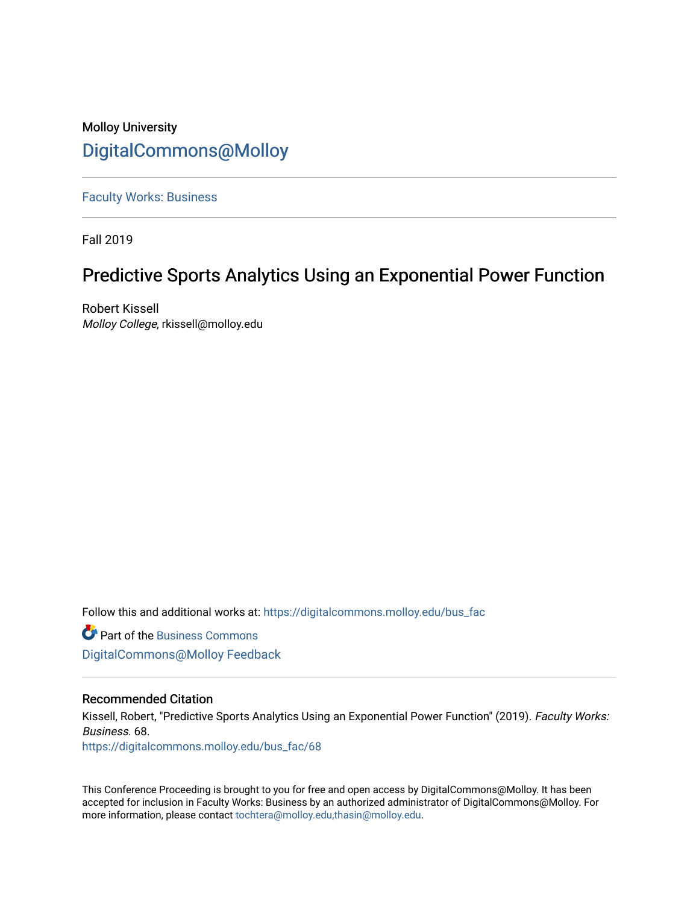# Molloy University [DigitalCommons@Molloy](https://digitalcommons.molloy.edu/)

[Faculty Works: Business](https://digitalcommons.molloy.edu/bus_fac) 

Fall 2019

# Predictive Sports Analytics Using an Exponential Power Function

Robert Kissell Molloy College, rkissell@molloy.edu

Follow this and additional works at: [https://digitalcommons.molloy.edu/bus\\_fac](https://digitalcommons.molloy.edu/bus_fac?utm_source=digitalcommons.molloy.edu%2Fbus_fac%2F68&utm_medium=PDF&utm_campaign=PDFCoverPages)

**C** Part of the [Business Commons](https://network.bepress.com/hgg/discipline/622?utm_source=digitalcommons.molloy.edu%2Fbus_fac%2F68&utm_medium=PDF&utm_campaign=PDFCoverPages) [DigitalCommons@Molloy Feedback](https://molloy.libwizard.com/f/dcfeedback)

# Recommended Citation

Kissell, Robert, "Predictive Sports Analytics Using an Exponential Power Function" (2019). Faculty Works: Business. 68.

[https://digitalcommons.molloy.edu/bus\\_fac/68](https://digitalcommons.molloy.edu/bus_fac/68?utm_source=digitalcommons.molloy.edu%2Fbus_fac%2F68&utm_medium=PDF&utm_campaign=PDFCoverPages) 

This Conference Proceeding is brought to you for free and open access by DigitalCommons@Molloy. It has been accepted for inclusion in Faculty Works: Business by an authorized administrator of DigitalCommons@Molloy. For more information, please contact [tochtera@molloy.edu,thasin@molloy.edu.](mailto:tochtera@molloy.edu,thasin@molloy.edu)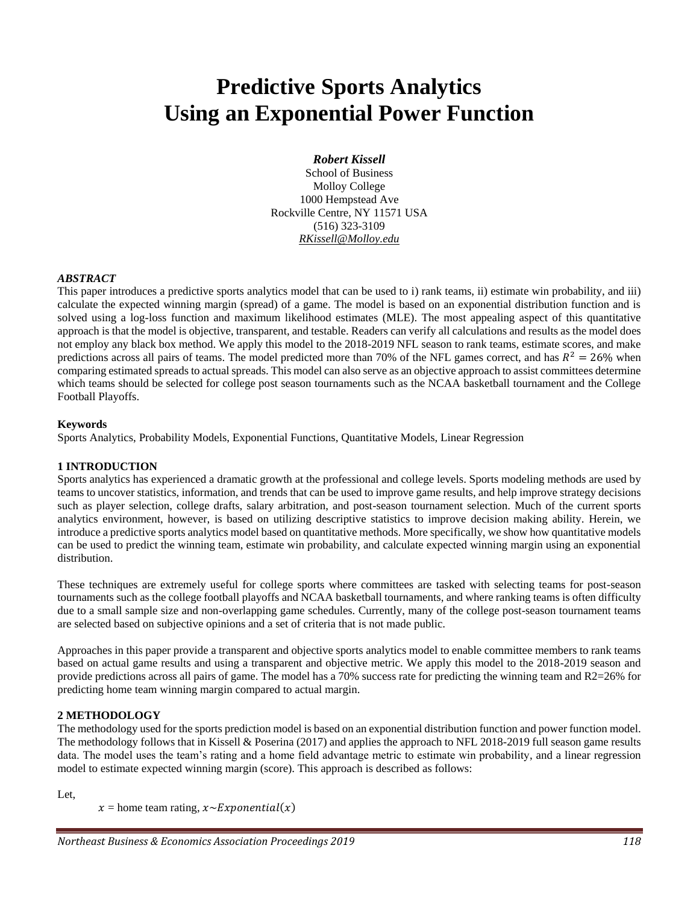# **Predictive Sports Analytics Using an Exponential Power Function**

# *Robert Kissell*

School of Business Molloy College 1000 Hempstead Ave Rockville Centre, NY 11571 USA (516) 323-3109 *RKissell@Molloy.edu*

#### *ABSTRACT*

This paper introduces a predictive sports analytics model that can be used to i) rank teams, ii) estimate win probability, and iii) calculate the expected winning margin (spread) of a game. The model is based on an exponential distribution function and is solved using a log-loss function and maximum likelihood estimates (MLE). The most appealing aspect of this quantitative approach is that the model is objective, transparent, and testable. Readers can verify all calculations and results as the model does not employ any black box method. We apply this model to the 2018-2019 NFL season to rank teams, estimate scores, and make predictions across all pairs of teams. The model predicted more than 70% of the NFL games correct, and has  $R^2 = 26\%$  when comparing estimated spreads to actual spreads. This model can also serve as an objective approach to assist committees determine which teams should be selected for college post season tournaments such as the NCAA basketball tournament and the College Football Playoffs.

#### **Keywords**

Sports Analytics, Probability Models, Exponential Functions, Quantitative Models, Linear Regression

# **1 INTRODUCTION**

Sports analytics has experienced a dramatic growth at the professional and college levels. Sports modeling methods are used by teams to uncover statistics, information, and trends that can be used to improve game results, and help improve strategy decisions such as player selection, college drafts, salary arbitration, and post-season tournament selection. Much of the current sports analytics environment, however, is based on utilizing descriptive statistics to improve decision making ability. Herein, we introduce a predictive sports analytics model based on quantitative methods. More specifically, we show how quantitative models can be used to predict the winning team, estimate win probability, and calculate expected winning margin using an exponential distribution.

These techniques are extremely useful for college sports where committees are tasked with selecting teams for post-season tournaments such as the college football playoffs and NCAA basketball tournaments, and where ranking teams is often difficulty due to a small sample size and non-overlapping game schedules. Currently, many of the college post-season tournament teams are selected based on subjective opinions and a set of criteria that is not made public.

Approaches in this paper provide a transparent and objective sports analytics model to enable committee members to rank teams based on actual game results and using a transparent and objective metric. We apply this model to the 2018-2019 season and provide predictions across all pairs of game. The model has a 70% success rate for predicting the winning team and R2=26% for predicting home team winning margin compared to actual margin.

# **2 METHODOLOGY**

The methodology used for the sports prediction model is based on an exponential distribution function and power function model. The methodology follows that in Kissell & Poserina (2017) and applies the approach to NFL 2018-2019 full season game results data. The model uses the team's rating and a home field advantage metric to estimate win probability, and a linear regression model to estimate expected winning margin (score). This approach is described as follows:

Let,

 $x =$  home team rating,  $x \sim Exponential(x)$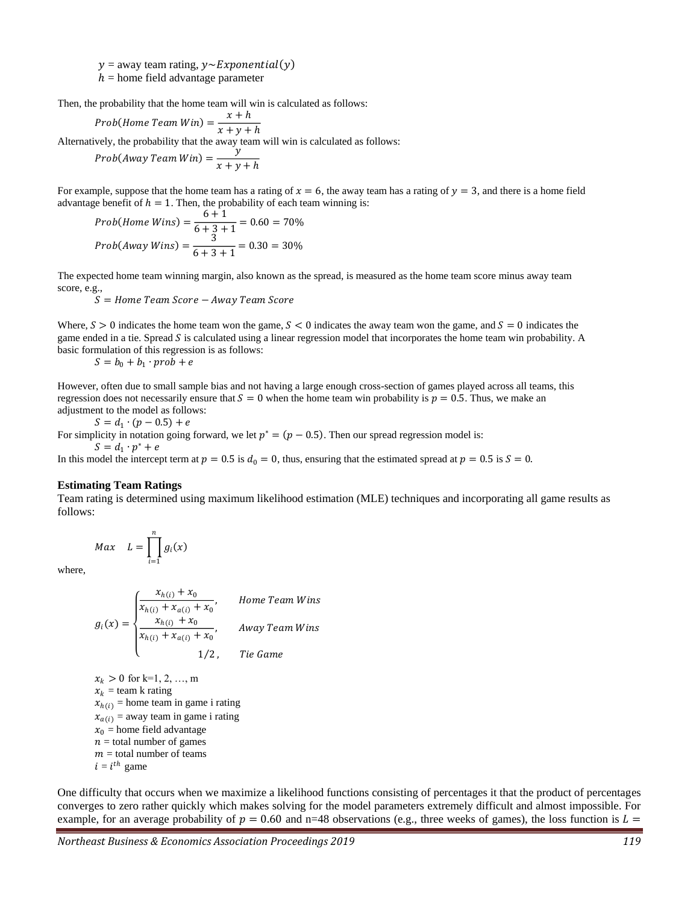$y =$ away team rating,  $y \sim$ Exponential(y)

 $h =$  home field advantage parameter

Then, the probability that the home team will win is calculated as follows:

$$
Prob(Home\ Team\ Win) = \frac{x+h}{x+y+h}
$$

Alternatively, the probability that the away team will win is calculated as follows:

 $Prob(Away Team Win) = \frac{y}{x}$  $x + y + h$ 

For example, suppose that the home team has a rating of  $x = 6$ , the away team has a rating of  $y = 3$ , and there is a home field advantage benefit of  $h = 1$ . Then, the probability of each team winning is:

$$
Prob(Home\ Wins) = \frac{6+1}{6+3+1} = 0.60 = 70\%
$$

$$
Prob(Away\ Wins) = \frac{3}{6+3+1} = 0.30 = 30\%
$$

The expected home team winning margin, also known as the spread, is measured as the home team score minus away team score, e.g.,

 $S =$  Home Team Score  $-$  Away Team Score

Where,  $S > 0$  indicates the home team won the game,  $S < 0$  indicates the away team won the game, and  $S = 0$  indicates the game ended in a tie. Spread  $S$  is calculated using a linear regression model that incorporates the home team win probability. A basic formulation of this regression is as follows:

$$
S = b_0 + b_1 \cdot prob + e
$$

However, often due to small sample bias and not having a large enough cross-section of games played across all teams, this regression does not necessarily ensure that  $S = 0$  when the home team win probability is  $p = 0.5$ . Thus, we make an adjustment to the model as follows:

$$
S = d_1 \cdot (p - 0.5) + e
$$

For simplicity in notation going forward, we let  $p^* = (p - 0.5)$ . Then our spread regression model is:

 $S = d_1 \cdot p^* + e$ 

In this model the intercept term at  $p = 0.5$  is  $d_0 = 0$ , thus, ensuring that the estimated spread at  $p = 0.5$  is  $S = 0$ .

#### **Estimating Team Ratings**

Team rating is determined using maximum likelihood estimation (MLE) techniques and incorporating all game results as follows:

$$
Max \quad L = \prod_{i=1}^{n} g_i(x)
$$

where,

$$
g_i(x) = \begin{cases} \frac{x_{h(i)} + x_0}{x_{h(i)} + x_{a(i)} + x_0}, & \text{Home Team wins} \\ \frac{x_{h(i)} + x_0}{x_{h(i)} + x_{a(i)} + x_0}, & \text{away Team wins} \\ 1/2, & \text{tie Game} \end{cases}
$$

 $x_k > 0$  for k=1, 2, ..., m  $x_k$  = team k rating  $x_{h(i)}$  = home team in game i rating  $x_{a(i)}$  = away team in game i rating  $x_0$  = home field advantage  $n =$  total number of games  $m =$  total number of teams  $i = i<sup>th</sup>$  game

One difficulty that occurs when we maximize a likelihood functions consisting of percentages it that the product of percentages converges to zero rather quickly which makes solving for the model parameters extremely difficult and almost impossible. For example, for an average probability of  $p = 0.60$  and n=48 observations (e.g., three weeks of games), the loss function is  $L =$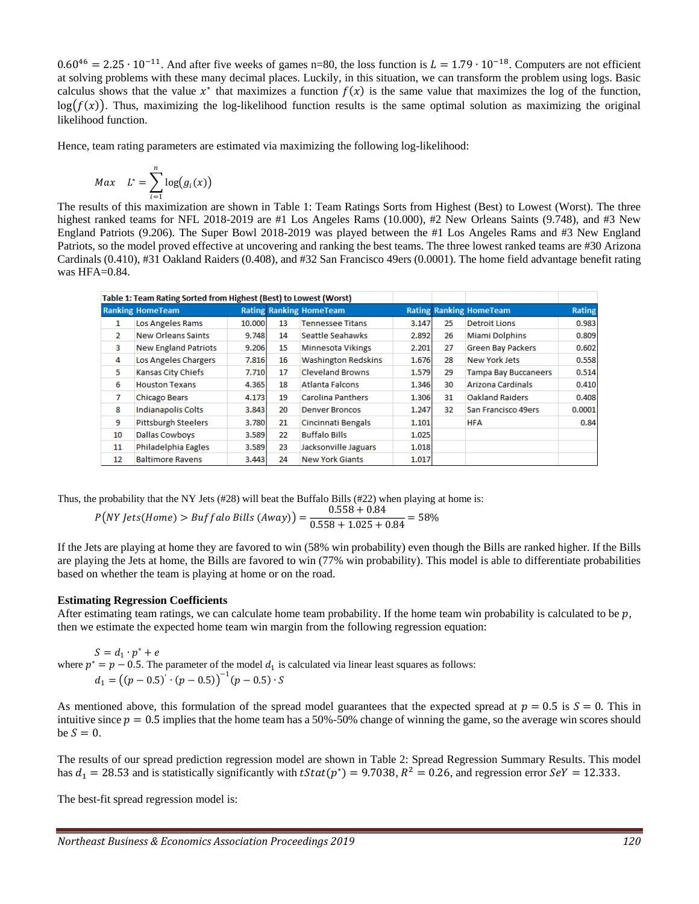$0.60^{46} = 2.25 \cdot 10^{-11}$ . And after five weeks of games n=80, the loss function is  $L = 1.79 \cdot 10^{-18}$ . Computers are not efficient at solving problems with these many decimal places. Luckily, in this situation, we can transform the problem using logs. Basic calculus shows that the value  $x^*$  that maximizes a function  $f(x)$  is the same value that maximizes the log of the function,  $log(f(x))$ . Thus, maximizing the log-likelihood function results is the same optimal solution as maximizing the original likelihood function.

Hence, team rating parameters are estimated via maximizing the following log-likelihood:

$$
Max \quad L^* = \sum_{i=1}^n \log(g_i(x))
$$

The results of this maximization are shown in Table 1: Team Ratings Sorts from Highest (Best) to Lowest (Worst). The three highest ranked teams for NFL 2018-2019 are #1 Los Angeles Rams (10.000), #2 New Orleans Saints (9.748), and #3 New England Patriots (9.206). The Super Bowl 2018-2019 was played between the #1 Los Angeles Rams and #3 New England Patriots, so the model proved effective at uncovering and ranking the best teams. The three lowest ranked teams are #30 Arizona Cardinals (0.410), #31 Oakland Raiders (0.408), and #32 San Francisco 49ers (0.0001). The home field advantage benefit rating was  $HFA=0.84$ .

|                | Table 1: Team Rating Sorted from Highest (Best) to Lowest (Worst) |        |    |                                |       |    |                                |        |
|----------------|-------------------------------------------------------------------|--------|----|--------------------------------|-------|----|--------------------------------|--------|
|                | <b>Ranking HomeTeam</b>                                           |        |    | <b>Rating Ranking HomeTeam</b> |       |    | <b>Rating Ranking HomeTeam</b> | Rating |
| 1              | <b>Los Angeles Rams</b>                                           | 10.000 | 13 | <b>Tennessee Titans</b>        | 3.147 | 25 | <b>Detroit Lions</b>           | 0.983  |
| $\overline{2}$ | <b>New Orleans Saints</b>                                         | 9.748  | 14 | Seattle Seahawks               | 2.892 | 26 | <b>Miami Dolphins</b>          | 0.809  |
| 3              | <b>New England Patriots</b>                                       | 9.206  | 15 | <b>Minnesota Vikings</b>       | 2.201 | 27 | <b>Green Bay Packers</b>       | 0.602  |
| 4              | Los Angeles Chargers                                              | 7.816  | 16 | <b>Washington Redskins</b>     | 1.676 | 28 | <b>New York Jets</b>           | 0.558  |
| 5              | Kansas City Chiefs                                                | 7.710  | 17 | <b>Cleveland Browns</b>        | 1.579 | 29 | <b>Tampa Bay Buccaneers</b>    | 0.514  |
| 6              | <b>Houston Texans</b>                                             | 4.365  | 18 | <b>Atlanta Falcons</b>         | 1.346 | 30 | <b>Arizona Cardinals</b>       | 0.410  |
| 7              | <b>Chicago Bears</b>                                              | 4.173  | 19 | <b>Carolina Panthers</b>       | 1.306 | 31 | <b>Oakland Raiders</b>         | 0.408  |
| 8              | <b>Indianapolis Colts</b>                                         | 3.843  | 20 | <b>Denver Broncos</b>          | 1.247 | 32 | San Francisco 49ers            | 0.0001 |
| -9             | <b>Pittsburgh Steelers</b>                                        | 3.780  | 21 | <b>Cincinnati Bengals</b>      | 1.101 |    | <b>HFA</b>                     | 0.84   |
| 10             | <b>Dallas Cowboys</b>                                             | 3.589  | 22 | <b>Buffalo Bills</b>           | 1.025 |    |                                |        |
| 11             | Philadelphia Eagles                                               | 3.589  | 23 | Jacksonville Jaguars           | 1.018 |    |                                |        |
| 12             | <b>Baltimore Ravens</b>                                           | 3.443  | 24 | <b>New York Giants</b>         | 1.017 |    |                                |        |

Thus, the probability that the NY Jets (#28) will beat the Buffalo Bills (#22) when playing at home is:

$$
P(NY jets(Home) > \text{Buffalo Bills (Away)}) = \frac{0.558 + 0.84}{0.558 + 1.025 + 0.84} = 58\%
$$

If the Jets are playing at home they are favored to win (58% win probability) even though the Bills are ranked higher. If the Bills are playing the Jets at home, the Bills are favored to win (77% win probability). This model is able to differentiate probabilities based on whether the team is playing at home or on the road.

#### **Estimating Regression Coefficients**

After estimating team ratings, we can calculate home team probability. If the home team win probability is calculated to be  $p$ , then we estimate the expected home team win margin from the following regression equation:

 $S = d_1 \cdot p^* + e$ where  $p^* = p - 0.5$ . The parameter of the model  $d_1$  is calculated via linear least squares as follows:  $d_1 = ((p - 0.5)^{'} \cdot (p - 0.5))^{-1} (p - 0.5) \cdot S$ 

As mentioned above, this formulation of the spread model guarantees that the expected spread at  $p = 0.5$  is  $S = 0$ . This in intuitive since  $p = 0.5$  implies that the home team has a 50%-50% change of winning the game, so the average win scores should be  $S = 0$ .

The results of our spread prediction regression model are shown in Table 2: Spread Regression Summary Results. This model has  $d_1 = 28.53$  and is statistically significantly with  $tStat(p^*) = 9.7038$ ,  $R^2 = 0.26$ , and regression error  $SeY = 12.333$ .

The best-fit spread regression model is: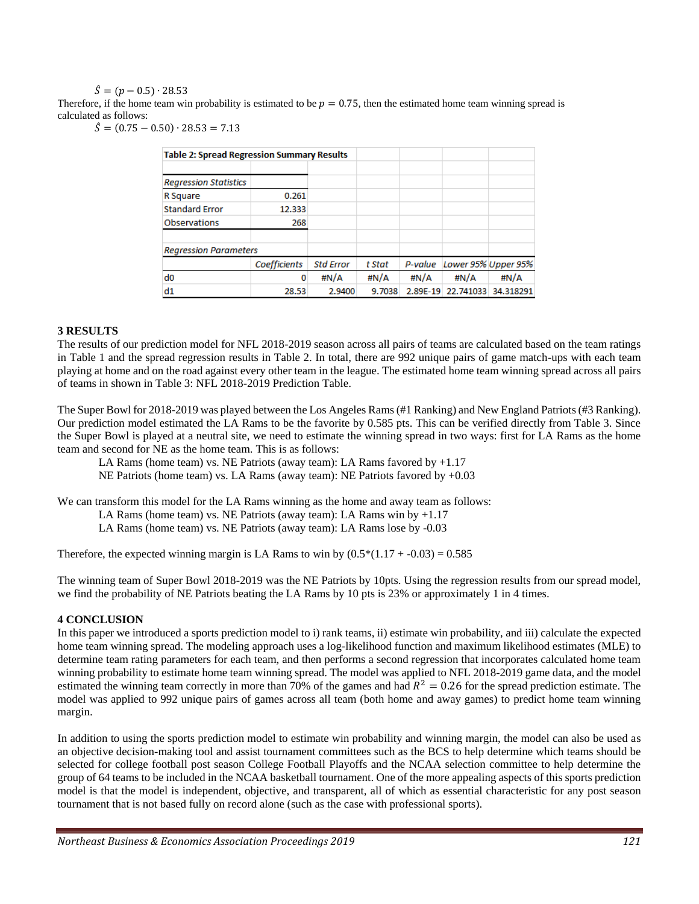$\hat{S} = (n - 0.5) \cdot 28.53$ 

Therefore, if the home team win probability is estimated to be  $p = 0.75$ , then the estimated home team winning spread is calculated as follows:

 $\hat{S} = (0.75 - 0.50) \cdot 28.53 = 7.13$ 

| <b>Table 2: Spread Regression Summary Results</b> |              |                  |        |          |                     |           |
|---------------------------------------------------|--------------|------------------|--------|----------|---------------------|-----------|
|                                                   |              |                  |        |          |                     |           |
| <b>Regression Statistics</b>                      |              |                  |        |          |                     |           |
| R Square                                          | 0.261        |                  |        |          |                     |           |
| <b>Standard Error</b>                             | 12.333       |                  |        |          |                     |           |
| <b>Observations</b>                               | 268          |                  |        |          |                     |           |
|                                                   |              |                  |        |          |                     |           |
| <b>Regression Parameters</b>                      |              |                  |        |          |                     |           |
|                                                   | Coefficients | <b>Std Error</b> | t Stat | P-value  | Lower 95% Upper 95% |           |
| d0                                                | 0            |                  | #N/A   | #N/A     | #N/A                | #N/A      |
| d1                                                | 28.53        | 2.9400           | 9.7038 | 2.89E-19 | 22.741033           | 34.318291 |

#### **3 RESULTS**

The results of our prediction model for NFL 2018-2019 season across all pairs of teams are calculated based on the team ratings in Table 1 and the spread regression results in Table 2. In total, there are 992 unique pairs of game match-ups with each team playing at home and on the road against every other team in the league. The estimated home team winning spread across all pairs of teams in shown in Table 3: NFL 2018-2019 Prediction Table.

The Super Bowl for 2018-2019 was played between the Los Angeles Rams (#1 Ranking) and New England Patriots (#3 Ranking). Our prediction model estimated the LA Rams to be the favorite by 0.585 pts. This can be verified directly from Table 3. Since the Super Bowl is played at a neutral site, we need to estimate the winning spread in two ways: first for LA Rams as the home team and second for NE as the home team. This is as follows:

LA Rams (home team) vs. NE Patriots (away team): LA Rams favored by  $+1.17$ 

NE Patriots (home team) vs. LA Rams (away team): NE Patriots favored by +0.03

We can transform this model for the LA Rams winning as the home and away team as follows:

LA Rams (home team) vs. NE Patriots (away team): LA Rams win by  $+1.17$ 

LA Rams (home team) vs. NE Patriots (away team): LA Rams lose by -0.03

Therefore, the expected winning margin is LA Rams to win by  $(0.5*(1.17 + -0.03) = 0.585$ 

The winning team of Super Bowl 2018-2019 was the NE Patriots by 10pts. Using the regression results from our spread model, we find the probability of NE Patriots beating the LA Rams by 10 pts is 23% or approximately 1 in 4 times.

#### **4 CONCLUSION**

In this paper we introduced a sports prediction model to i) rank teams, ii) estimate win probability, and iii) calculate the expected home team winning spread. The modeling approach uses a log-likelihood function and maximum likelihood estimates (MLE) to determine team rating parameters for each team, and then performs a second regression that incorporates calculated home team winning probability to estimate home team winning spread. The model was applied to NFL 2018-2019 game data, and the model estimated the winning team correctly in more than 70% of the games and had  $R^2 = 0.26$  for the spread prediction estimate. The model was applied to 992 unique pairs of games across all team (both home and away games) to predict home team winning margin.

In addition to using the sports prediction model to estimate win probability and winning margin, the model can also be used as an objective decision-making tool and assist tournament committees such as the BCS to help determine which teams should be selected for college football post season College Football Playoffs and the NCAA selection committee to help determine the group of 64 teams to be included in the NCAA basketball tournament. One of the more appealing aspects of this sports prediction model is that the model is independent, objective, and transparent, all of which as essential characteristic for any post season tournament that is not based fully on record alone (such as the case with professional sports).